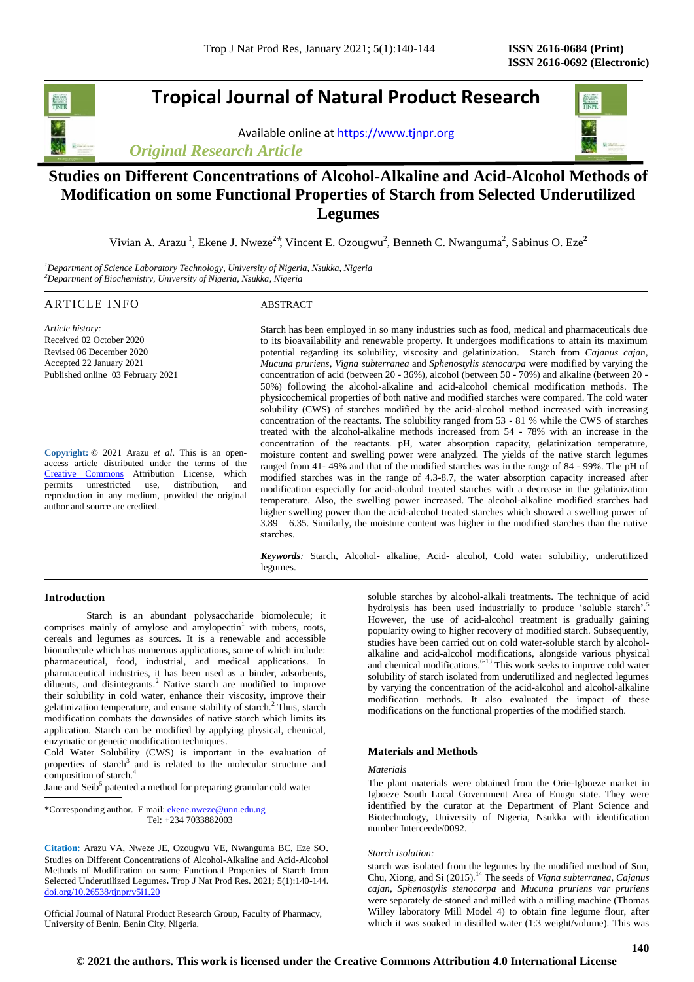# **Tropical Journal of Natural Product Research**

Available online a[t https://www.tjnpr.org](https://www.tjnpr.org/)

*Original Research Article*



## **Studies on Different Concentrations of Alcohol-Alkaline and Acid-Alcohol Methods of Modification on some Functional Properties of Starch from Selected Underutilized Legumes**

Vivian A. Arazu<sup>1</sup>, Ekene J. Nweze<sup>2\*</sup>, Vincent E. Ozougwu<sup>2</sup>, Benneth C. Nwanguma<sup>2</sup>, Sabinus O. Eze<sup>2</sup>

*<sup>1</sup>Department of Science Laboratory Technology, University of Nigeria, Nsukka, Nigeria <sup>2</sup>Department of Biochemistry, University of Nigeria, Nsukka, Nigeria*

## ARTICLE INFO ABSTRACT

*Article history:* Received 02 October 2020 Revised 06 December 2020 Accepted 22 January 2021 Published online 03 February 2021

**Copyright:** © 2021 Arazu *et al*. This is an openaccess article distributed under the terms of the [Creative Commons](https://creativecommons.org/licenses/by/4.0/) Attribution License, which permits unrestricted use, distribution, and reproduction in any medium, provided the original author and source are credited.

Starch has been employed in so many industries such as food, medical and pharmaceuticals due to its bioavailability and renewable property. It undergoes modifications to attain its maximum potential regarding its solubility, viscosity and gelatinization. Starch from *Cajanus cajan, Mucuna pruriens, Vigna subterranea* and *Sphenostylis stenocarpa* were modified by varying the concentration of acid (between 20 - 36%), alcohol (between 50 - 70%) and alkaline (between 20 - 50%) following the alcohol-alkaline and acid-alcohol chemical modification methods. The physicochemical properties of both native and modified starches were compared. The cold water solubility (CWS) of starches modified by the acid-alcohol method increased with increasing concentration of the reactants. The solubility ranged from 53 - 81 % while the CWS of starches treated with the alcohol-alkaline methods increased from 54 - 78% with an increase in the concentration of the reactants. pH, water absorption capacity, gelatinization temperature, moisture content and swelling power were analyzed. The yields of the native starch legumes ranged from 41- 49% and that of the modified starches was in the range of 84 - 99%. The pH of modified starches was in the range of 4.3-8.7, the water absorption capacity increased after modification especially for acid-alcohol treated starches with a decrease in the gelatinization temperature. Also, the swelling power increased. The alcohol-alkaline modified starches had higher swelling power than the acid-alcohol treated starches which showed a swelling power of 3.89 – 6.35. Similarly, the moisture content was higher in the modified starches than the native starches.

*Keywords:* Starch, Alcohol- alkaline, Acid- alcohol, Cold water solubility, underutilized legumes.

#### **Introduction**

Starch is an abundant polysaccharide biomolecule; it comprises mainly of amylose and amylopectin $1$  with tubers, roots, cereals and legumes as sources. It is a renewable and accessible biomolecule which has numerous applications, some of which include: pharmaceutical, food, industrial, and medical applications. In pharmaceutical industries, it has been used as a binder, adsorbents, diluents, and disintegrants.<sup>2</sup> Native starch are modified to improve their solubility in cold water, enhance their viscosity, improve their gelatinization temperature, and ensure stability of starch.<sup>2</sup> Thus, starch modification combats the downsides of native starch which limits its application. Starch can be modified by applying physical, chemical, enzymatic or genetic modification techniques.

Cold Water Solubility (CWS) is important in the evaluation of properties of starch<sup>3</sup> and is related to the molecular structure and composition of starch.<sup>4</sup>

Jane and Seib<sup>5</sup> patented a method for preparing granular cold water

\*Corresponding author. E mail[: ekene.nweze@unn.edu.ng](mailto:ekene.nweze@unn.edu.ng) Tel: +234 7033882003

**Citation:** Arazu VA, Nweze JE, Ozougwu VE, Nwanguma BC, Eze SO. Studies on Different Concentrations of Alcohol-Alkaline and Acid-Alcohol Methods of Modification on some Functional Properties of Starch from Selected Underutilized Legumes**.** Trop J Nat Prod Res. 2021; 5(1):140-144. [doi.org/10.26538/tjnpr/v5i1.2](http://www.doi.org/10.26538/tjnpr/v1i4.5)0

Official Journal of Natural Product Research Group, Faculty of Pharmacy, University of Benin, Benin City, Nigeria.

soluble starches by alcohol-alkali treatments. The technique of acid hydrolysis has been used industrially to produce 'soluble starch'.<sup>5</sup> However, the use of acid-alcohol treatment is gradually gaining popularity owing to higher recovery of modified starch. Subsequently, studies have been carried out on cold water-soluble starch by alcoholalkaline and acid-alcohol modifications, alongside various physical and chemical modifications.<sup> $6-13$ </sup> This work seeks to improve cold water solubility of starch isolated from underutilized and neglected legumes by varying the concentration of the acid-alcohol and alcohol-alkaline modification methods. It also evaluated the impact of these modifications on the functional properties of the modified starch.

#### **Materials and Methods**

#### *Materials*

The plant materials were obtained from the Orie-Igboeze market in Igboeze South Local Government Area of Enugu state. They were identified by the curator at the Department of Plant Science and Biotechnology, University of Nigeria, Nsukka with identification number Interceede/0092.

#### *Starch isolation:*

starch was isolated from the legumes by the modified method of Sun, Chu, Xiong, and Si (2015).<sup>14</sup> The seeds of *Vigna subterranea*, *Cajanus cajan*, *Sphenostylis stenocarpa* and *Mucuna pruriens var pruriens* were separately de-stoned and milled with a milling machine (Thomas Willey laboratory Mill Model 4) to obtain fine legume flour, after which it was soaked in distilled water (1:3 weight/volume). This was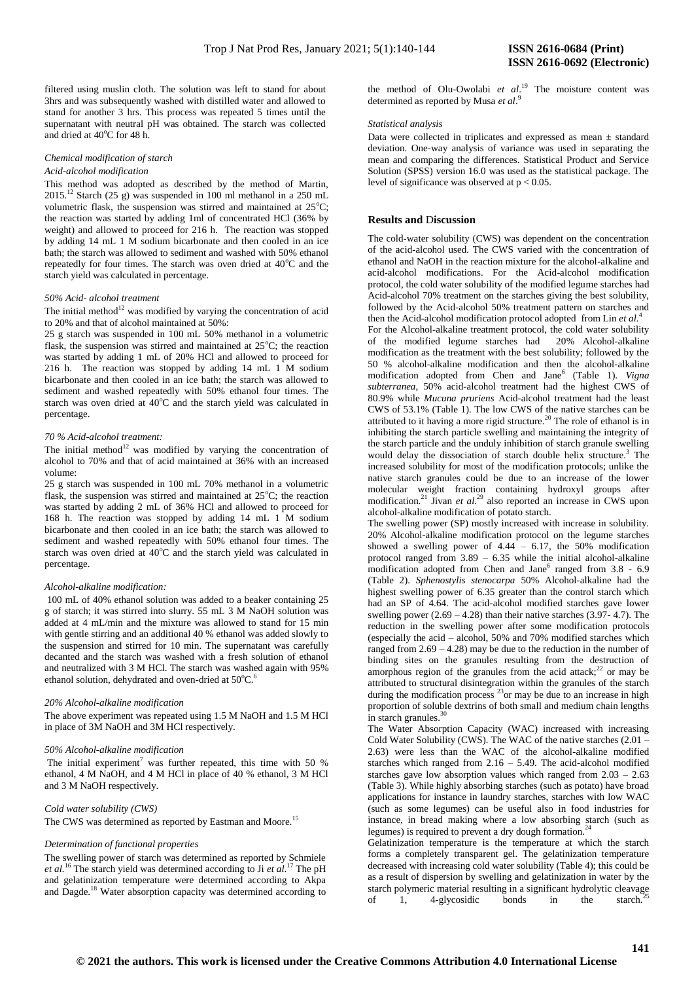filtered using muslin cloth. The solution was left to stand for about 3hrs and was subsequently washed with distilled water and allowed to stand for another 3 hrs. This process was repeated 5 times until the supernatant with neutral pH was obtained. The starch was collected and dried at  $40^{\circ}$ C for 48 h.

#### *Chemical modification of starch Acid-alcohol modification*

This method was adopted as described by the method of Martin,  $2015.<sup>12</sup>$  Starch (25 g) was suspended in 100 ml methanol in a 250 mL volumetric flask, the suspension was stirred and maintained at  $25^{\circ}$ C; the reaction was started by adding 1ml of concentrated HCl (36% by weight) and allowed to proceed for 216 h. The reaction was stopped by adding 14 mL 1 M sodium bicarbonate and then cooled in an ice bath; the starch was allowed to sediment and washed with 50% ethanol repeatedly for four times. The starch was oven dried at  $40^{\circ}$ C and the starch yield was calculated in percentage.

## *50% Acid- alcohol treatment*

The initial method<sup>12</sup> was modified by varying the concentration of acid to 20% and that of alcohol maintained at 50%:

25 g starch was suspended in 100 mL 50% methanol in a volumetric flask, the suspension was stirred and maintained at  $25^{\circ}$ C; the reaction was started by adding 1 mL of 20% HCl and allowed to proceed for 216 h. The reaction was stopped by adding 14 mL 1 M sodium bicarbonate and then cooled in an ice bath; the starch was allowed to sediment and washed repeatedly with 50% ethanol four times. The starch was oven dried at 40°C and the starch yield was calculated in percentage.

#### *70 % Acid-alcohol treatment:*

The initial method $12$  was modified by varying the concentration of alcohol to 70% and that of acid maintained at 36% with an increased volume:

25 g starch was suspended in 100 mL 70% methanol in a volumetric flask, the suspension was stirred and maintained at  $25^{\circ}$ C; the reaction was started by adding 2 mL of 36% HCl and allowed to proceed for 168 h. The reaction was stopped by adding 14 mL 1 M sodium bicarbonate and then cooled in an ice bath; the starch was allowed to sediment and washed repeatedly with 50% ethanol four times. The starch was oven dried at 40°C and the starch yield was calculated in percentage.

### *Alcohol-alkaline modification:*

100 mL of 40% ethanol solution was added to a beaker containing 25 g of starch; it was stirred into slurry. 55 mL 3 M NaOH solution was added at 4 mL/min and the mixture was allowed to stand for 15 min with gentle stirring and an additional 40 % ethanol was added slowly to the suspension and stirred for 10 min. The supernatant was carefully decanted and the starch was washed with a fresh solution of ethanol and neutralized with 3 M HCl. The starch was washed again with 95% ethanol solution, dehydrated and oven-dried at 50°C.<sup>6</sup>

#### *20% Alcohol-alkaline modification*

The above experiment was repeated using 1.5 M NaOH and 1.5 M HCl in place of 3M NaOH and 3M HCl respectively.

#### *50% Alcohol-alkaline modification*

The initial experiment<sup>7</sup> was further repeated, this time with 50 % ethanol, 4 M NaOH, and 4 M HCl in place of 40 % ethanol, 3 M HCl and 3 M NaOH respectively.

## *Cold water solubility (CWS)*

The CWS was determined as reported by Eastman and Moore.<sup>15</sup>

## *Determination of functional properties*

The swelling power of starch was determined as reported by Schmiele *et al.*<sup>16</sup> The starch yield was determined according to Ji *et al*. <sup>17</sup> The pH and gelatinization temperature were determined according to Akpa and Dagde.<sup>18</sup> Water absorption capacity was determined according to the method of Olu-Owolabi *et al*. <sup>19</sup> The moisture content was determined as reported by Musa *et al*. 9

#### *Statistical analysis*

Data were collected in triplicates and expressed as mean  $\pm$  standard deviation. One-way analysis of variance was used in separating the mean and comparing the differences. Statistical Product and Service Solution (SPSS) version 16.0 was used as the statistical package. The level of significance was observed at  $p < 0.05$ .

## **Results and** D**iscussion**

The cold-water solubility (CWS) was dependent on the concentration of the acid-alcohol used. The CWS varied with the concentration of ethanol and NaOH in the reaction mixture for the alcohol-alkaline and acid-alcohol modifications. For the Acid-alcohol modification protocol, the cold water solubility of the modified legume starches had Acid-alcohol 70% treatment on the starches giving the best solubility, followed by the Acid-alcohol 50% treatment pattern on starches and then the Acid-alcohol modification protocol adopted from Lin *et al.*<sup>4</sup>

For the Alcohol-alkaline treatment protocol, the cold water solubility of the modified legume starches had 20% Alcohol-alkaline modification as the treatment with the best solubility; followed by the 50 % alcohol-alkaline modification and then the alcohol-alkaline modification adopted from Chen and Jane<sup>6</sup> (Table 1). *Vigna subterranea*, 50% acid-alcohol treatment had the highest CWS of 80.9% while *Mucuna pruriens* Acid-alcohol treatment had the least CWS of 53.1% (Table 1). The low CWS of the native starches can be attributed to it having a more rigid structure.<sup>20</sup> The role of ethanol is in inhibiting the starch particle swelling and maintaining the integrity of the starch particle and the unduly inhibition of starch granule swelling would delay the dissociation of starch double helix structure.<sup>3</sup> The increased solubility for most of the modification protocols; unlike the native starch granules could be due to an increase of the lower molecular weight fraction containing hydroxyl groups after modification.<sup>21</sup> Jivan *et al.*<sup>29</sup> also reported an increase in CWS upon alcohol-alkaline modification of potato starch.

The swelling power (SP) mostly increased with increase in solubility. 20% Alcohol-alkaline modification protocol on the legume starches showed a swelling power of  $4.44 - 6.17$ , the  $50\%$  modification protocol ranged from 3.89 – 6.35 while the initial alcohol-alkaline modification adopted from Chen and Jane<sup>6</sup> ranged from 3.8 - 6.9 (Table 2). *Sphenostylis stenocarpa* 50% Alcohol-alkaline had the highest swelling power of 6.35 greater than the control starch which had an SP of 4.64. The acid-alcohol modified starches gave lower swelling power  $(2.69 - 4.28)$  than their native starches  $(3.97 - 4.7)$ . The reduction in the swelling power after some modification protocols (especially the acid – alcohol, 50% and 70% modified starches which ranged from  $2.69 - 4.28$ ) may be due to the reduction in the number of binding sites on the granules resulting from the destruction of amorphous region of the granules from the acid attack;<sup>22</sup> or may be attributed to structural disintegration within the granules of the starch during the modification process  $^{23}$ or may be due to an increase in high proportion of soluble dextrins of both small and medium chain lengths in starch granules.<sup>30</sup>

The Water Absorption Capacity (WAC) increased with increasing Cold Water Solubility (CWS). The WAC of the native starches  $(2.01 -$ 2.63) were less than the WAC of the alcohol-alkaline modified starches which ranged from  $2.16 - 5.49$ . The acid-alcohol modified starches gave low absorption values which ranged from 2.03 – 2.63 (Table 3). While highly absorbing starches (such as potato) have broad applications for instance in laundry starches, starches with low WAC (such as some legumes) can be useful also in food industries for instance, in bread making where a low absorbing starch (such as legumes) is required to prevent a dry dough formation.

Gelatinization temperature is the temperature at which the starch forms a completely transparent gel. The gelatinization temperature decreased with increasing cold water solubility (Table 4); this could be as a result of dispersion by swelling and gelatinization in water by the starch polymeric material resulting in a significant hydrolytic cleavage of 1, 4-glycosidic bonds in the starch.<sup>25</sup>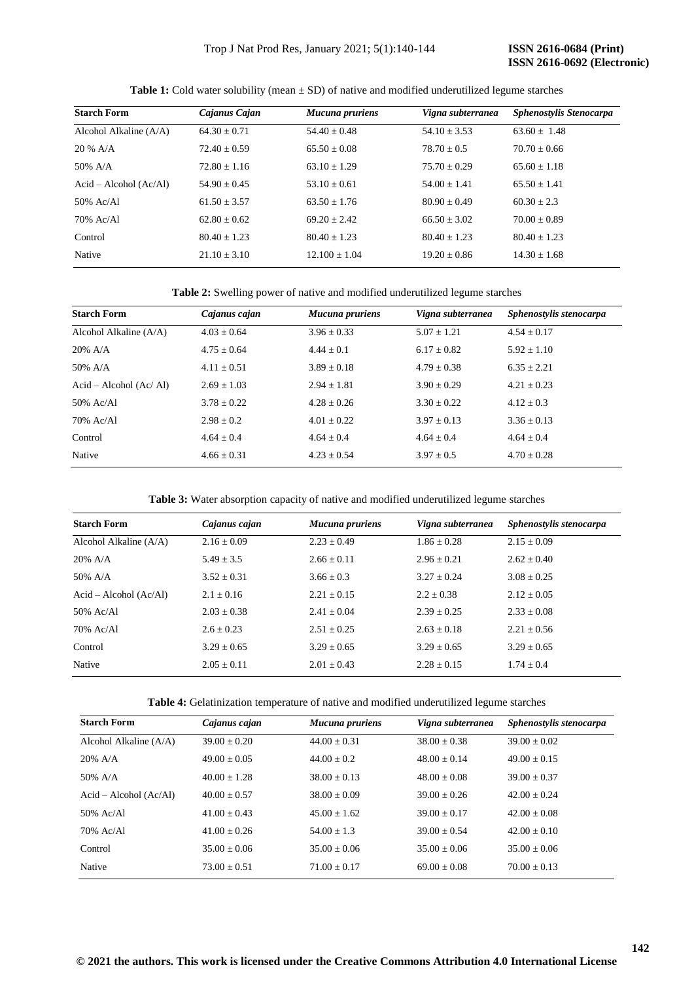| <b>Starch Form</b>       | Cajanus Cajan    | Mucuna pruriens   | Vigna subterranea | Sphenostylis Stenocarpa |
|--------------------------|------------------|-------------------|-------------------|-------------------------|
| Alcohol Alkaline (A/A)   | $64.30 + 0.71$   | $54.40 + 0.48$    | $54.10 \pm 3.53$  | $63.60 + 1.48$          |
| $20 \%$ A/A              | $72.40 \pm 0.59$ | $65.50 + 0.08$    | $78.70 + 0.5$     | $70.70 + 0.66$          |
| $50\%$ A/A               | $72.80 + 1.16$   | $63.10 + 1.29$    | $75.70 + 0.29$    | $65.60 + 1.18$          |
| $Acid - Alcohol (Ac/Al)$ | $54.90 \pm 0.45$ | $53.10 + 0.61$    | $54.00 + 1.41$    | $65.50 + 1.41$          |
| $50\%$ Ac/Al             | $61.50 + 3.57$   | $63.50 + 1.76$    | $80.90 \pm 0.49$  | $60.30 \pm 2.3$         |
| 70% Ac/Al                | $62.80 + 0.62$   | $69.20 + 2.42$    | $66.50 \pm 3.02$  | $70.00 + 0.89$          |
| Control                  | $80.40 + 1.23$   | $80.40 + 1.23$    | $80.40 + 1.23$    | $80.40 + 1.23$          |
| Native                   | $21.10 \pm 3.10$ | $12.100 \pm 1.04$ | $19.20 \pm 0.86$  | $14.30 \pm 1.68$        |

Table 1: Cold water solubility (mean  $\pm$  SD) of native and modified underutilized legume starches

| <b>Starch Form</b>        | Cajanus cajan   | Mucuna pruriens | Vigna subterranea | Sphenostylis stenocarpa |
|---------------------------|-----------------|-----------------|-------------------|-------------------------|
| Alcohol Alkaline (A/A)    | $4.03 + 0.64$   | $3.96 + 0.33$   | $5.07 + 1.21$     | $4.54 + 0.17$           |
| $20\%$ A/A                | $4.75 + 0.64$   | $4.44 + 0.1$    | $6.17 + 0.82$     | $5.92 + 1.10$           |
| $50\%$ A/A                | $4.11 \pm 0.51$ | $3.89 + 0.18$   | $4.79 + 0.38$     | $6.35 + 2.21$           |
| $Acid - Alcohol (Ac/ Al)$ | $2.69 + 1.03$   | $2.94 + 1.81$   | $3.90 + 0.29$     | $4.21 \pm 0.23$         |
| 50% Ac/Al                 | $3.78 \pm 0.22$ | $4.28 + 0.26$   | $3.30 + 0.22$     | $4.12 \pm 0.3$          |
| 70% Ac/Al                 | $2.98 + 0.2$    | $4.01 + 0.22$   | $3.97 + 0.13$     | $3.36 + 0.13$           |
| Control                   | $4.64 + 0.4$    | $4.64 + 0.4$    | $4.64 + 0.4$      | $4.64 + 0.4$            |
| Native                    | $4.66 + 0.31$   | $4.23 + 0.54$   | $3.97 + 0.5$      | $4.70 + 0.28$           |

**Table 3:** Water absorption capacity of native and modified underutilized legume starches

| <b>Starch Form</b>       | Cajanus cajan   | Mucuna pruriens | Vigna subterranea | Sphenostylis stenocarpa |
|--------------------------|-----------------|-----------------|-------------------|-------------------------|
| Alcohol Alkaline (A/A)   | $2.16 \pm 0.09$ | $2.23 \pm 0.49$ | $1.86 + 0.28$     | $2.15 \pm 0.09$         |
| $20\%$ A/A               | $5.49 \pm 3.5$  | $2.66 + 0.11$   | $2.96 + 0.21$     | $2.62 + 0.40$           |
| $50\%$ A/A               | $3.52 + 0.31$   | $3.66 + 0.3$    | $3.27 + 0.24$     | $3.08 + 0.25$           |
| $Acid - Alcohol (Ac/Al)$ | $2.1 + 0.16$    | $2.21 + 0.15$   | $2.2 + 0.38$      | $2.12 + 0.05$           |
| 50% Ac/Al                | $2.03 + 0.38$   | $2.41 + 0.04$   | $2.39 + 0.25$     | $2.33 + 0.08$           |
| 70% Ac/Al                | $2.6 + 0.23$    | $2.51 + 0.25$   | $2.63 + 0.18$     | $2.21 + 0.56$           |
| Control                  | $3.29 + 0.65$   | $3.29 + 0.65$   | $3.29 + 0.65$     | $3.29 + 0.65$           |
| Native                   | $2.05 + 0.11$   | $2.01 + 0.43$   | $2.28 + 0.15$     | $1.74 \pm 0.4$          |

|  |  | Table 4: Gelatinization temperature of native and modified underutilized legume starches |
|--|--|------------------------------------------------------------------------------------------|
|--|--|------------------------------------------------------------------------------------------|

| <b>Starch Form</b>       | Cajanus cajan  | Mucuna pruriens | Vigna subterranea | Sphenostylis stenocarpa |
|--------------------------|----------------|-----------------|-------------------|-------------------------|
| Alcohol Alkaline $(A/A)$ | $39.00 + 0.20$ | $44.00 + 0.31$  | $38.00 + 0.38$    | $39.00 + 0.02$          |
| $20\%$ A/A               | $49.00 + 0.05$ | $44.00 + 0.2$   | $48.00 + 0.14$    | $49.00 + 0.15$          |
| 50% $A/A$                | $40.00 + 1.28$ | $38.00 + 0.13$  | $48.00 + 0.08$    | $39.00 + 0.37$          |
| $Acid - Alcohol (Ac/Al)$ | $40.00 + 0.57$ | $38.00 + 0.09$  | $39.00 + 0.26$    | $42.00 + 0.24$          |
| $50\%$ Ac/Al             | $41.00 + 0.43$ | $45.00 + 1.62$  | $39.00 + 0.17$    | $42.00 + 0.08$          |
| 70% Ac/Al                | $41.00 + 0.26$ | $54.00 + 1.3$   | $39.00 + 0.54$    | $42.00 + 0.10$          |
| Control                  | $35.00 + 0.06$ | $35.00 + 0.06$  | $35.00 + 0.06$    | $35.00 + 0.06$          |
| Native                   | $73.00 + 0.51$ | $71.00 + 0.17$  | $69.00 + 0.08$    | $70.00 + 0.13$          |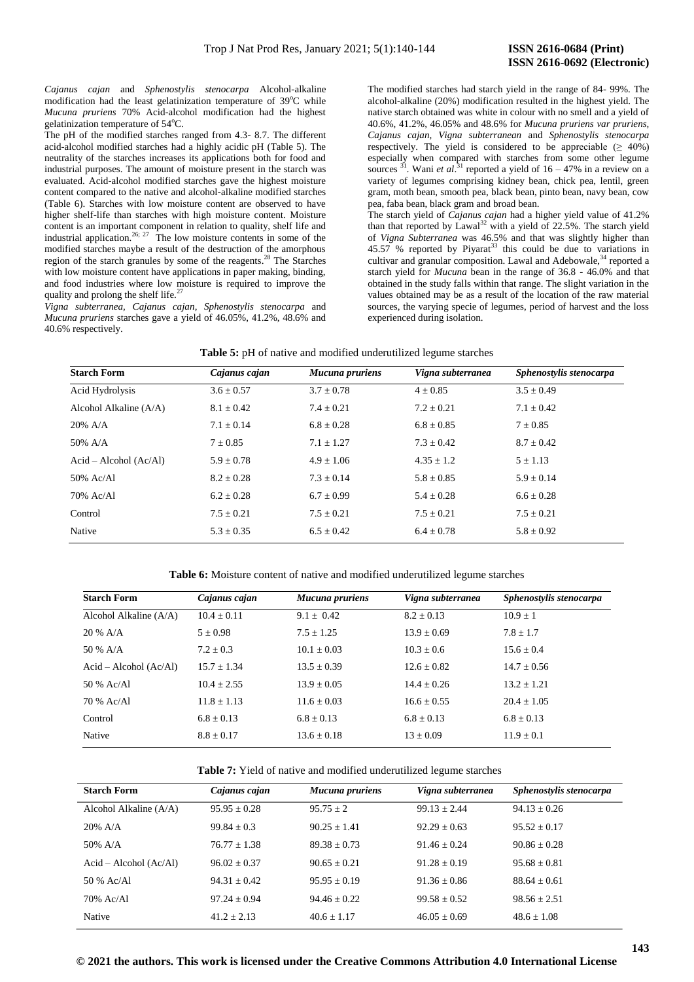*Cajanus cajan* and *Sphenostylis stenocarpa* Alcohol-alkaline modification had the least gelatinization temperature of  $39^{\circ}$ C while *Mucuna pruriens* 70% Acid-alcohol modification had the highest gelatinization temperature of 54°C.

The pH of the modified starches ranged from 4.3- 8.7. The different acid-alcohol modified starches had a highly acidic pH (Table 5). The neutrality of the starches increases its applications both for food and industrial purposes. The amount of moisture present in the starch was evaluated. Acid-alcohol modified starches gave the highest moisture content compared to the native and alcohol-alkaline modified starches (Table 6). Starches with low moisture content are observed to have higher shelf-life than starches with high moisture content. Moisture content is an important component in relation to quality, shelf life and industrial application.<sup>26; 27</sup> The low moisture contents in some of the modified starches maybe a result of the destruction of the amorphous region of the starch granules by some of the reagents. <sup>28</sup> The Starches with low moisture content have applications in paper making, binding, and food industries where low moisture is required to improve the quality and prolong the shelf life.<sup>2</sup>

*Vigna subterranea, Cajanus cajan, Sphenostylis stenocarpa* and *Mucuna pruriens* starches gave a yield of 46.05%, 41.2%, 48.6% and 40.6% respectively.

The modified starches had starch yield in the range of 84- 99%. The alcohol-alkaline (20%) modification resulted in the highest yield. The native starch obtained was white in colour with no smell and a yield of 40.6%, 41.2%, 46.05% and 48.6% for *Mucuna pruriens var pruriens, Cajanus cajan, Vigna subterranean* and *Sphenostylis stenocarpa*  respectively. The yield is considered to be appreciable  $(≥ 40%)$ especially when compared with starches from some other legume sources  $^{31}$ . Wani *et al*.<sup>31</sup> reported a yield of 16 – 47% in a review on a variety of legumes comprising kidney bean, chick pea, lentil, green gram, moth bean, smooth pea, black bean, pinto bean, navy bean, cow pea, faba bean, black gram and broad bean.

The starch yield of *Cajanus cajan* had a higher yield value of 41.2% than that reported by  $Lawal<sup>32</sup>$  with a yield of 22.5%. The starch yield of *Vigna Subterranea* was 46.5% and that was slightly higher than  $45.57$  % reported by Piyarat<sup>33</sup> this could be due to variations in cultivar and granular composition. Lawal and Adebowale,<sup>34</sup> reported a starch yield for *Mucuna* bean in the range of 36.8 - 46.0% and that obtained in the study falls within that range. The slight variation in the values obtained may be as a result of the location of the raw material sources, the varying specie of legumes, period of harvest and the loss experienced during isolation.

| Table 5: pH of native and modified underutilized legume starches |
|------------------------------------------------------------------|
|------------------------------------------------------------------|

| <b>Starch Form</b>       | Cajanus cajan  | <b>Mucuna pruriens</b> | Vigna subterranea | Sphenostylis stenocarpa |
|--------------------------|----------------|------------------------|-------------------|-------------------------|
| Acid Hydrolysis          | $3.6 \pm 0.57$ | $3.7 \pm 0.78$         | $4 \pm 0.85$      | $3.5 \pm 0.49$          |
| Alcohol Alkaline $(A/A)$ | $8.1 \pm 0.42$ | $7.4 \pm 0.21$         | $7.2 \pm 0.21$    | $7.1 \pm 0.42$          |
| $20\%$ A/A               | $7.1 \pm 0.14$ | $6.8 \pm 0.28$         | $6.8 \pm 0.85$    | $7 \pm 0.85$            |
| 50% A/A                  | $7 \pm 0.85$   | $7.1 \pm 1.27$         | $7.3 \pm 0.42$    | $8.7 \pm 0.42$          |
| $Acid - Alcohol (Ac/Al)$ | $5.9 \pm 0.78$ | $4.9 + 1.06$           | $4.35 \pm 1.2$    | $5 \pm 1.13$            |
| 50% Ac/Al                | $8.2 \pm 0.28$ | $7.3 \pm 0.14$         | $5.8 \pm 0.85$    | $5.9 \pm 0.14$          |
| 70% Ac/Al                | $6.2 \pm 0.28$ | $6.7 \pm 0.99$         | $5.4 \pm 0.28$    | $6.6 \pm 0.28$          |
| Control                  | $7.5 \pm 0.21$ | $7.5 \pm 0.21$         | $7.5 \pm 0.21$    | $7.5 \pm 0.21$          |
| Native                   | $5.3 \pm 0.35$ | $6.5 \pm 0.42$         | $6.4 \pm 0.78$    | $5.8 \pm 0.92$          |

**Table 6:** Moisture content of native and modified underutilized legume starches

| <b>Starch Form</b>       | Cajanus cajan  | Mucuna pruriens | Vigna subterranea | Sphenostylis stenocarpa |
|--------------------------|----------------|-----------------|-------------------|-------------------------|
| Alcohol Alkaline $(A/A)$ | $10.4 + 0.11$  | $9.1 + 0.42$    | $8.2 + 0.13$      | $10.9 + 1$              |
| $20 \%$ A/A              | $5 + 0.98$     | $7.5 \pm 1.25$  | $13.9 + 0.69$     | $7.8 \pm 1.7$           |
| 50 % $A/A$               | $7.2 + 0.3$    | $10.1 + 0.03$   | $10.3 + 0.6$      | $15.6 + 0.4$            |
| $Acid - Alcohol (Ac/Al)$ | $15.7 + 1.34$  | $13.5 + 0.39$   | $12.6 + 0.82$     | $14.7 + 0.56$           |
| 50 % Ac/Al               | $10.4 + 2.55$  | $13.9 + 0.05$   | $14.4 + 0.26$     | $13.2 + 1.21$           |
| 70 % Ac/Al               | $11.8 + 1.13$  | $11.6 + 0.03$   | $16.6 \pm 0.55$   | $20.4 + 1.05$           |
| Control                  | $6.8 + 0.13$   | $6.8 + 0.13$    | $6.8 + 0.13$      | $6.8 + 0.13$            |
| Native                   | $8.8 \pm 0.17$ | $13.6 \pm 0.18$ | $13 \pm 0.09$     | $11.9 \pm 0.1$          |

|  |  |  |  | Table 7: Yield of native and modified underutilized legume starches |  |  |
|--|--|--|--|---------------------------------------------------------------------|--|--|
|--|--|--|--|---------------------------------------------------------------------|--|--|

| <b>Starch Form</b>       | Cajanus cajan  | Mucuna pruriens | Vigna subterranea | Sphenostylis stenocarpa |
|--------------------------|----------------|-----------------|-------------------|-------------------------|
| Alcohol Alkaline $(A/A)$ | $95.95 + 0.28$ | $95.75 + 2$     | $99.13 + 2.44$    | $94.13 + 0.26$          |
| $20\%$ A/A               | $99.84 + 0.3$  | $90.25 + 1.41$  | $92.29 + 0.63$    | $95.52 + 0.17$          |
| 50% $A/A$                | $76.77 + 1.38$ | $89.38 + 0.73$  | $91.46 + 0.24$    | $90.86 + 0.28$          |
| $Acid - Alcohol (Ac/Al)$ | $96.02 + 0.37$ | $90.65 + 0.21$  | $91.28 + 0.19$    | $95.68 + 0.81$          |
| 50 % Ac/Al               | $94.31 + 0.42$ | $95.95 + 0.19$  | $91.36 + 0.86$    | $88.64 + 0.61$          |
| 70% Ac/Al                | $97.24 + 0.94$ | $94.46 + 0.22$  | $99.58 + 0.52$    | $98.56 + 2.51$          |
| Native                   | $41.2 + 2.13$  | $40.6 + 1.17$   | $46.05 + 0.69$    | $48.6 + 1.08$           |